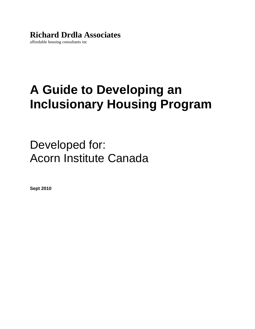# **Richard Drdla Associates**

affordable housing consultants inc

# **A Guide to Developing an Inclusionary Housing Program**

Developed for: Acorn Institute Canada

**Sept 2010**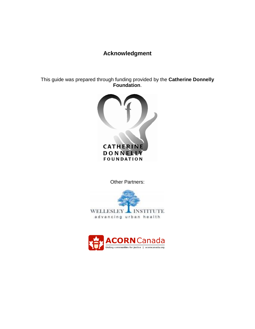# **Acknowledgment**

This guide was prepared through funding provided by the **Catherine Donnelly Foundation**.



Other Partners:



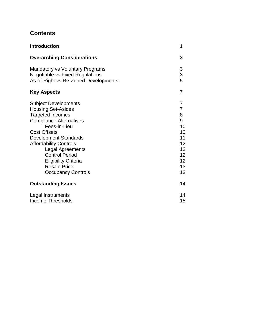# **Contents**

| <b>Introduction</b>                                                                                                                                                                                                                                                                                                                                           | 1                                                                                                             |
|---------------------------------------------------------------------------------------------------------------------------------------------------------------------------------------------------------------------------------------------------------------------------------------------------------------------------------------------------------------|---------------------------------------------------------------------------------------------------------------|
| <b>Overarching Considerations</b>                                                                                                                                                                                                                                                                                                                             | 3                                                                                                             |
| <b>Mandatory vs Voluntary Programs</b><br><b>Negotiable vs Fixed Regulations</b><br>As-of-Right vs Re-Zoned Developments                                                                                                                                                                                                                                      | 3<br>$\frac{3}{5}$                                                                                            |
| <b>Key Aspects</b>                                                                                                                                                                                                                                                                                                                                            | 7                                                                                                             |
| <b>Subject Developments</b><br><b>Housing Set-Asides</b><br><b>Targeted Incomes</b><br><b>Compliance Alternatives</b><br>Fees-in-Lieu<br><b>Cost Offsets</b><br><b>Development Standards</b><br><b>Affordability Controls</b><br>Legal Agreements<br><b>Control Period</b><br><b>Eligibility Criteria</b><br><b>Resale Price</b><br><b>Occupancy Controls</b> | 7<br>7<br>8<br>9<br>10<br>10<br>11<br>12 <sup>2</sup><br>12 <sub>2</sub><br>12<br>12 <sup>2</sup><br>13<br>13 |
| <b>Outstanding Issues</b>                                                                                                                                                                                                                                                                                                                                     | 14                                                                                                            |
| Legal Instruments<br><b>Income Thresholds</b>                                                                                                                                                                                                                                                                                                                 | 14<br>15                                                                                                      |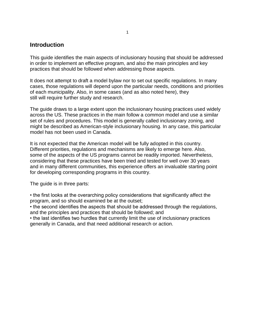## **Introduction**

This guide identifies the main aspects of inclusionary housing that should be addressed in order to implement an effective program, and also the main principles and key practices that should be followed when addressing those aspects.

It does not attempt to draft a model bylaw nor to set out specific regulations. In many cases, those regulations will depend upon the particular needs, conditions and priorities of each municipality. Also, in some cases (and as also noted here), they still will require further study and research.

The guide draws to a large extent upon the inclusionary housing practices used widely across the US. These practices in the main follow a common model and use a similar set of rules and procedures. This model is generally called inclusionary zoning, and might be described as American-style inclusionary housing. In any case, this particular model has not been used in Canada.

It is not expected that the American model will be fully adopted in this country. Different priorities, regulations and mechanisms are likely to emerge here. Also, some of the aspects of the US programs cannot be readily imported. Nevertheless, considering that these practices have been tried and tested for well over 30 years and in many different communities, this experience offers an invaluable starting point for developing corresponding programs in this country.

The guide is in three parts:

• the first looks at the overarching policy considerations that significantly affect the program, and so should examined be at the outset;

• the second identifies the aspects that should be addressed through the regulations, and the principles and practices that should be followed; and

• the last identifies two hurdles that currently limit the use of inclusionary practices generally in Canada, and that need additional research or action.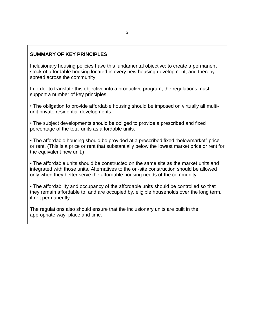### **SUMMARY OF KEY PRINCIPLES**

Inclusionary housing policies have this fundamental objective: to create a permanent stock of affordable housing located in every new housing development, and thereby spread across the community.

In order to translate this objective into a productive program, the regulations must support a number of key principles:

• The obligation to provide affordable housing should be imposed on virtually all multiunit private residential developments.

• The subject developments should be obliged to provide a prescribed and fixed percentage of the total units as affordable units.

• The affordable housing should be provided at a prescribed fixed "belowmarket" price or rent. (This is a price or rent that substantially below the lowest market price or rent for the equivalent new unit.)

• The affordable units should be constructed on the same site as the market units and integrated with those units. Alternatives to the on-site construction should be allowed only when they better serve the affordable housing needs of the community.

• The affordability and occupancy of the affordable units should be controlled so that they remain affordable to, and are occupied by, eligible households over the long term, if not permanently.

The regulations also should ensure that the inclusionary units are built in the appropriate way, place and time.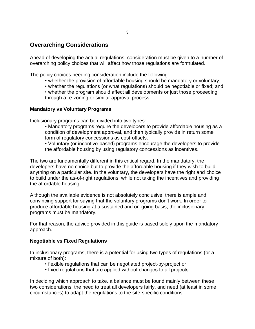# **Overarching Considerations**

Ahead of developing the actual regulations, consideration must be given to a number of overarching policy choices that will affect how those regulations are formulated.

The policy choices needing consideration include the following:

- whether the provision of affordable housing should be mandatory or voluntary;
- whether the regulations (or what regulations) should be negotiable or fixed; and
- whether the program should affect all developments or just those proceeding through a re-zoning or similar approval process.

#### **Mandatory vs Voluntary Programs**

Inclusionary programs can be divided into two types:

- Mandatory programs require the developers to provide affordable housing as a condition of development approval, and then typically provide in return some form of regulatory concessions as cost-offsets.
- Voluntary (or incentive-based) programs encourage the developers to provide the affordable housing by using regulatory concessions as incentives.

The two are fundamentally different in this critical regard. In the mandatory, the developers have no choice but to provide the affordable housing if they wish to build anything on a particular site. In the voluntary, the developers have the right and choice to build under the as-of-right regulations, while not taking the incentives and providing the affordable housing.

Although the available evidence is not absolutely conclusive, there is ample and convincing support for saying that the voluntary programs don"t work. In order to produce affordable housing at a sustained and on-going basis, the inclusionary programs must be mandatory.

For that reason, the advice provided in this guide is based solely upon the mandatory approach.

#### **Negotiable vs Fixed Regulations**

In inclusionary programs, there is a potential for using two types of regulations (or a mixture of both):

- flexible regulations that can be negotiated project-by-project or
- fixed regulations that are applied without changes to all projects.

In deciding which approach to take, a balance must be found mainly between these two considerations: the need to treat all developers fairly, and need (at least in some circumstances) to adapt the regulations to the site-specific conditions.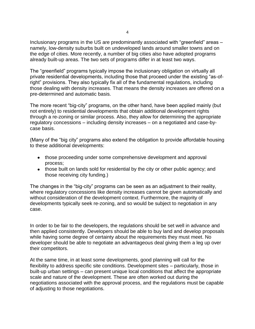Inclusionary programs in the US are predominantly associated with "greenfield" areas – namely, low-density suburbs built on undeveloped lands around smaller towns and on the edge of cities. More recently, a number of big cities also have adopted programs already built-up areas. The two sets of programs differ in at least two ways.

The "greenfield" programs typically impose the inclusionary obligation on virtually all private residential developments, including those that proceed under the existing "as-ofright" provisions. They also typically fix all of the fundamental regulations, including those dealing with density increases. That means the density increases are offered on a pre-determined and automatic basis.

The more recent "big-city" programs, on the other hand, have been applied mainly (but not entirely) to residential developments that obtain additional development rights through a re-zoning or similar process. Also, they allow for determining the appropriate regulatory concessions – including density increases – on a negotiated and case-bycase basis.

(Many of the "big city" programs also extend the obligation to provide affordable housing to these additional developments:

- those proceeding under some comprehensive development and approval process;
- those built on lands sold for residential by the city or other public agency; and those receiving city funding.)

The changes in the "big-city" programs can be seen as an adjustment to their reality, where regulatory concessions like density increases cannot be given automatically and without consideration of the development context. Furthermore, the majority of developments typically seek re-zoning, and so would be subject to negotiation in any case.

In order to be fair to the developers, the regulations should be set well in advance and then applied consistently. Developers should be able to buy land and develop proposals while having some degree of certainty about the requirements they must meet. No developer should be able to negotiate an advantageous deal giving them a leg up over their competitors.

At the same time, in at least some developments, good planning will call for the flexibility to address specific site conditions. Development sites – particularly, those in built-up urban settings – can present unique local conditions that affect the appropriate scale and nature of the development. These are often worked out during the negotiations associated with the approval process, and the regulations must be capable of adjusting to those negotiations.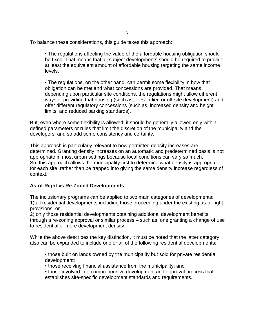To balance these considerations, this guide takes this approach:

• The regulations affecting the value of the affordable housing obligation should be fixed. That means that all subject developments should be required to provide at least the equivalent amount of affordable housing targeting the same income levels.

• The regulations, on the other hand, can permit some flexibility in how that obligation can be met and what concessions are provided. That means, depending upon particular site conditions, the regulations might allow different ways of providing that housing (such as, fees-in-lieu or off-site development) and offer different regulatory concessions (such as, increased density and height limits, and reduced parking standards).

But, even where some flexibility is allowed, it should be generally allowed only within defined parameters or rules that limit the discretion of the municipality and the developers, and so add some consistency and certainty.

This approach is particularly relevant to how permitted density increases are determined. Granting density increases on an automatic and predetermined basis is not appropriate in most urban settings because local conditions can vary so much. So, this approach allows the municipality first to determine what density is appropriate for each site, rather than be trapped into giving the same density increase regardless of context.

#### **As-of-Right vs Re-Zoned Developments**

The inclusionary programs can be applied to two main categories of developments: 1) all residential developments including those proceeding under the existing as-of-right provisions, or

2) only those residential developments obtaining additional development benefits through a re-zoning approval or similar process – such as, one granting a change of use to residential or more development density.

While the above describes the key distinction, it must be noted that the latter category also can be expanded to include one or all of the following residential developments:

• those built on lands owned by the municipality but sold for private residential development;

- those receiving financial assistance from the municipality; and
- those involved in a comprehensive development and approval process that establishes site-specific development standards and requirements.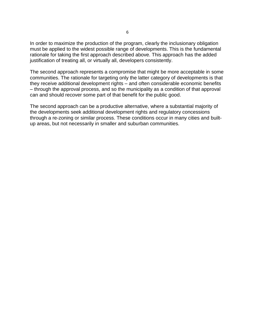In order to maximize the production of the program, clearly the inclusionary obligation must be applied to the widest possible range of developments. This is the fundamental rationale for taking the first approach described above. This approach has the added justification of treating all, or virtually all, developers consistently.

The second approach represents a compromise that might be more acceptable in some communities. The rationale for targeting only the latter category of developments is that they receive additional development rights – and often considerable economic benefits – through the approval process, and so the municipality as a condition of that approval can and should recover some part of that benefit for the public good.

The second approach can be a productive alternative, where a substantial majority of the developments seek additional development rights and regulatory concessions through a re-zoning or similar process. These conditions occur in many cities and builtup areas, but not necessarily in smaller and suburban communities.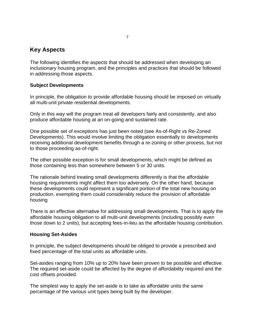# **Key Aspects**

The following identifies the aspects that should be addressed when developing an inclusionary housing program, and the principles and practices that should be followed in addressing those aspects.

#### **Subject Developments**

In principle, the obligation to provide affordable housing should be imposed on virtually all multi-unit private residential developments.

Only in this way will the program treat all developers fairly and consistently, and also produce affordable housing at an on-going and sustained rate.

One possible set of exceptions has just been noted (see As-of-Right vs Re-Zoned Developments). This would involve limiting the obligation essentially to developments receiving additional development benefits through a re-zoning or other process, but not to those proceeding as-of-right.

The other possible exception is for small developments, which might be defined as those containing less than somewhere between 5 or 30 units.

The rationale behind treating small developments differently is that the affordable housing requirements might affect them too adversely. On the other hand, because these developments could represent a significant portion of the total new housing on production, exempting them could considerably reduce the provision of affordable housing

There is an effective alternative for addressing small developments. That is to apply the affordable housing obligation to all multi-unit developments (including possibly even those down to 2 units), but accepting fees-in-lieu as the affordable housing contribution.

#### **Housing Set-Asides**

In principle, the subject developments should be obliged to provide a prescribed and fixed percentage of the total units as affordable units.

Set-asides ranging from 10% up to 20% have been proven to be possible and effective. The required set-aside could be affected by the degree of affordability required and the cost offsets provided.

The simplest way to apply the set-aside is to take as affordable units the same percentage of the various unit types being built by the developer.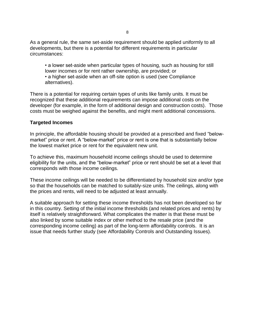As a general rule, the same set-aside requirement should be applied uniformly to all developments, but there is a potential for different requirements in particular circumstances:

• a lower set-aside when particular types of housing, such as housing for still lower incomes or for rent rather ownership, are provided; or • a higher set-aside when an off-site option is used (see Compliance

alternatives).

There is a potential for requiring certain types of units like family units. It must be recognized that these additional requirements can impose additional costs on the developer (for example, in the form of additional design and construction costs). Those costs must be weighed against the benefits, and might merit additional concessions.

#### **Targeted Incomes**

In principle, the affordable housing should be provided at a prescribed and fixed "belowmarket" price or rent. A "below-market" price or rent is one that is substantially below the lowest market price or rent for the equivalent new unit.

To achieve this, maximum household income ceilings should be used to determine eligibility for the units, and the "below-market" price or rent should be set at a level that corresponds with those income ceilings.

These income ceilings will be needed to be differentiated by household size and/or type so that the households can be matched to suitably-size units. The ceilings, along with the prices and rents, will need to be adjusted at least annually.

A suitable approach for setting these income thresholds has not been developed so far in this country. Setting of the initial income thresholds (and related prices and rents) by itself is relatively straightforward. What complicates the matter is that these must be also linked by some suitable index or other method to the resale price (and the corresponding income ceiling) as part of the long-term affordability controls. It is an issue that needs further study (see Affordability Controls and Outstanding Issues).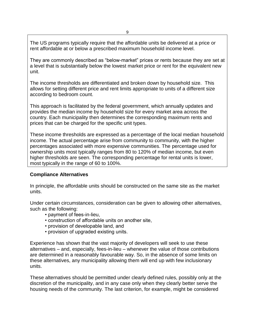The US programs typically require that the affordable units be delivered at a price or rent affordable at or below a prescribed maximum household income level.

They are commonly described as "below-market" prices or rents because they are set at a level that is substantially below the lowest market price or rent for the equivalent new unit.

The income thresholds are differentiated and broken down by household size. This allows for setting different price and rent limits appropriate to units of a different size according to bedroom count.

This approach is facilitated by the federal government, which annually updates and provides the median income by household size for every market area across the country. Each municipality then determines the corresponding maximum rents and prices that can be charged for the specific unit types.

These income thresholds are expressed as a percentage of the local median household income. The actual percentage arise from community to community, with the higher percentages associated with more expensive communities. The percentage used for ownership units most typically ranges from 80 to 120% of median income, but even higher thresholds are seen. The corresponding percentage for rental units is lower, most typically in the range of 60 to 100%.

#### **Compliance Alternatives**

In principle, the affordable units should be constructed on the same site as the market units.

Under certain circumstances, consideration can be given to allowing other alternatives, such as the following:

- payment of fees-in-lieu,
- construction of affordable units on another site,
- provision of developable land, and
- provision of upgraded existing units.

Experience has shown that the vast majority of developers will seek to use these alternatives – and, especially, fees-in-lieu – whenever the value of those contributions are determined in a reasonably favourable way. So, in the absence of some limits on these alternatives, any municipality allowing them will end up with few inclusionary units.

These alternatives should be permitted under clearly defined rules, possibly only at the discretion of the municipality, and in any case only when they clearly better serve the housing needs of the community. The last criterion, for example, might be considered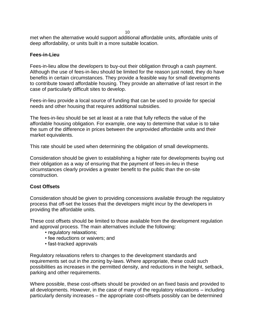10

met when the alternative would support additional affordable units, affordable units of deep affordability, or units built in a more suitable location.

#### **Fees-in-Lieu**

Fees-in-lieu allow the developers to buy-out their obligation through a cash payment. Although the use of fees-in-lieu should be limited for the reason just noted, they do have benefits in certain circumstances. They provide a feasible way for small developments to contribute toward affordable housing. They provide an alternative of last resort in the case of particularly difficult sites to develop.

Fees-in-lieu provide a local source of funding that can be used to provide for special needs and other housing that requires additional subsidies.

The fees-in-lieu should be set at least at a rate that fully reflects the value of the affordable housing obligation. For example, one way to determine that value is to take the sum of the difference in prices between the unprovided affordable units and their market equivalents.

This rate should be used when determining the obligation of small developments.

Consideration should be given to establishing a higher rate for developments buying out their obligation as a way of ensuring that the payment of fees-in-lieu in these circumstances clearly provides a greater benefit to the public than the on-site construction.

#### **Cost Offsets**

Consideration should be given to providing concessions available through the regulatory process that off-set the losses that the developers might incur by the developers in providing the affordable units.

These cost offsets should be limited to those available from the development regulation and approval process. The main alternatives include the following:

- regulatory relaxations;
- fee reductions or waivers; and
- fast-tracked approvals

Regulatory relaxations refers to changes to the development standards and requirements set out in the zoning by-laws. Where appropriate, these could such possibilities as increases in the permitted density, and reductions in the height, setback, parking and other requirements.

Where possible, these cost-offsets should be provided on an fixed basis and provided to all developments. However, in the case of many of the regulatory relaxations – including particularly density increases – the appropriate cost-offsets possibly can be determined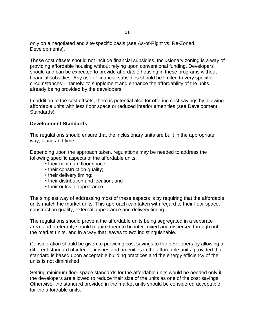only on a negotiated and site-specific basis (see As-of-Right vs. Re-Zoned Developments).

These cost offsets should not include financial subsidies. Inclusionary zoning is a way of providing affordable housing without relying upon conventional funding. Developers should and can be expected to provide affordable housing in these programs without financial subsidies. Any use of financial subsidies should be limited to very specific circumstances – namely, to supplement and enhance the affordability of the units already being provided by the developers.

In addition to the cost offsets, there is potential also for offering cost savings by allowing affordable units with less floor space or reduced interior amenities (see Development Standards).

#### **Development Standards**

The regulations should ensure that the inclusionary units are built in the appropriate way, place and time.

Depending upon the approach taken, regulations may be needed to address the following specific aspects of the affordable units:

- their minimum floor space;
- their construction quality;
- their delivery timing;
- their distribution and location; and
- their outside appearance.

The simplest way of addressing most of these aspects is by requiring that the affordable units match the market units. This approach can taken with regard to their floor space, construction quality, external appearance and delivery timing.

The regulations should prevent the affordable units being segregated in a separate area, and preferably should require them to be inter-mixed and dispersed through out the market units, and in a way that leaves to two indistinguishable.

Consideration should be given to providing cost savings to the developers by allowing a different standard of interior finishes and amenities in the affordable units, provided that standard is based upon acceptable building practices and the energy efficiency of the units is not diminished.

Setting minimum floor space standards for the affordable units would be needed only if the developers are allowed to reduce their size of the units as one of the cost savings. Otherwise, the standard provided in the market units should be considered acceptable for the affordable units.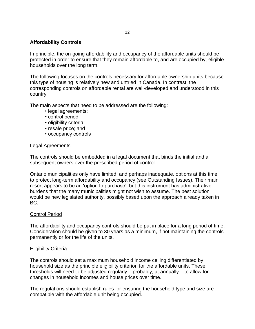#### **Affordability Controls**

In principle, the on-going affordability and occupancy of the affordable units should be protected in order to ensure that they remain affordable to, and are occupied by, eligible households over the long term.

The following focuses on the controls necessary for affordable ownership units because this type of housing is relatively new and untried in Canada. In contrast, the corresponding controls on affordable rental are well-developed and understood in this country.

The main aspects that need to be addressed are the following:

- legal agreements;
- control period;
- eligibility criteria;
- resale price; and
- occupancy controls

#### Legal Agreements

The controls should be embedded in a legal document that binds the initial and all subsequent owners over the prescribed period of control.

Ontario municipalities only have limited, and perhaps inadequate, options at this time to protect long-term affordability and occupancy (see Outstanding Issues). Their main resort appears to be an "option to purchase", but this instrument has administrative burdens that the many municipalities might not wish to assume. The best solution would be new legislated authority, possibly based upon the approach already taken in BC.

#### Control Period

The affordability and occupancy controls should be put in place for a long period of time. Consideration should be given to 30 years as a minimum, if not maintaining the controls permanently or for the life of the units.

#### **Eligibility Criteria**

The controls should set a maximum household income ceiling differentiated by household size as the principle eligibility criterion for the affordable units. These thresholds will need to be adjusted regularly – probably, at annually – to allow for changes in household incomes and house prices over time.

The regulations should establish rules for ensuring the household type and size are compatible with the affordable unit being occupied.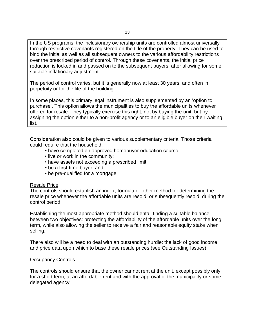In the US programs, the inclusionary ownership units are controlled almost universally through restrictive covenants registered on the title of the property. They can be used to bind the initial as well as all subsequent owners to the various affordability restrictions over the prescribed period of control. Through these covenants, the initial price reduction is locked in and passed on to the subsequent buyers, after allowing for some suitable inflationary adjustment.

The period of control varies, but it is generally now at least 30 years, and often in perpetuity or for the life of the building.

In some places, this primary legal instrument is also supplemented by an "option to purchase". This option allows the municipalities to buy the affordable units whenever offered for resale. They typically exercise this right, not by buying the unit, but by assigning the option either to a non-profit agency or to an eligible buyer on their waiting list.

Consideration also could be given to various supplementary criteria. Those criteria could require that the household:

- have completed an approved homebuyer education course;
- live or work in the community;
- have assets not exceeding a prescribed limit;
- be a first-time buyer; and
- be pre-qualified for a mortgage.

#### Resale Price

The controls should establish an index, formula or other method for determining the resale price whenever the affordable units are resold, or subsequently resold, during the control period.

Establishing the most appropriate method should entail finding a suitable balance between two objectives: protecting the affordability of the affordable units over the long term, while also allowing the seller to receive a fair and reasonable equity stake when selling.

There also will be a need to deal with an outstanding hurdle: the lack of good income and price data upon which to base these resale prices (see Outstanding Issues).

#### Occupancy Controls

The controls should ensure that the owner cannot rent at the unit, except possibly only for a short term, at an affordable rent and with the approval of the municipality or some delegated agency.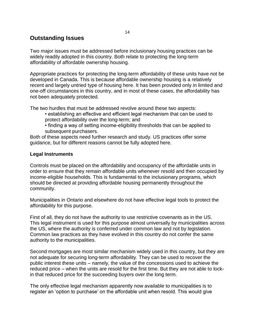# **Outstanding Issues**

Two major issues must be addressed before inclusionary housing practices can be widely readily adopted in this country. Both relate to protecting the long-term affordability of affordable ownership housing.

Appropriate practices for protecting the long-term affordability of these units have not be developed in Canada. This is because affordable ownership housing is a relatively recent and largely untried type of housing here. It has been provided only in limited and one-off circumstances in this country, and in most of these cases, the affordability has not been adequately protected.

The two hurdles that must be addressed revolve around these two aspects:

- establishing an effective and efficient legal mechanism that can be used to protect affordability over the long-term; and
- finding a way of setting income-eligibility thresholds that can be applied to subsequent purchasers.

Both of these aspects need further research and study. US practices offer some guidance, but for different reasons cannot be fully adopted here.

#### **Legal Instruments**

Controls must be placed on the affordability and occupancy of the affordable units in order to ensure that they remain affordable units whenever resold and then occupied by income-eligible households. This is fundamental to the inclusionary programs, which should be directed at providing affordable housing permanently throughout the community.

Municipalities in Ontario and elsewhere do not have effective legal tools to protect the affordability for this purpose.

First of all, they do not have the authority to use restrictive covenants as in the US. This legal instrument is used for this purpose almost universally by municipalities across the US, where the authority is conferred under common law and not by legislation. Common law practices as they have evolved in this country do not confer the same authority to the municipalities.

Second mortgages are most similar mechanism widely used in this country, but they are not adequate for securing long-term affordability. They can be used to recover the public interest these units – namely, the value of the concessions used to achieve the reduced price – when the units are resold for the first time. But they are not able to lockin that reduced price for the succeeding buyers over the long term.

The only effective legal mechanism apparently now available to municipalities is to register an "option to purchase" on the affordable unit when resold. This would give